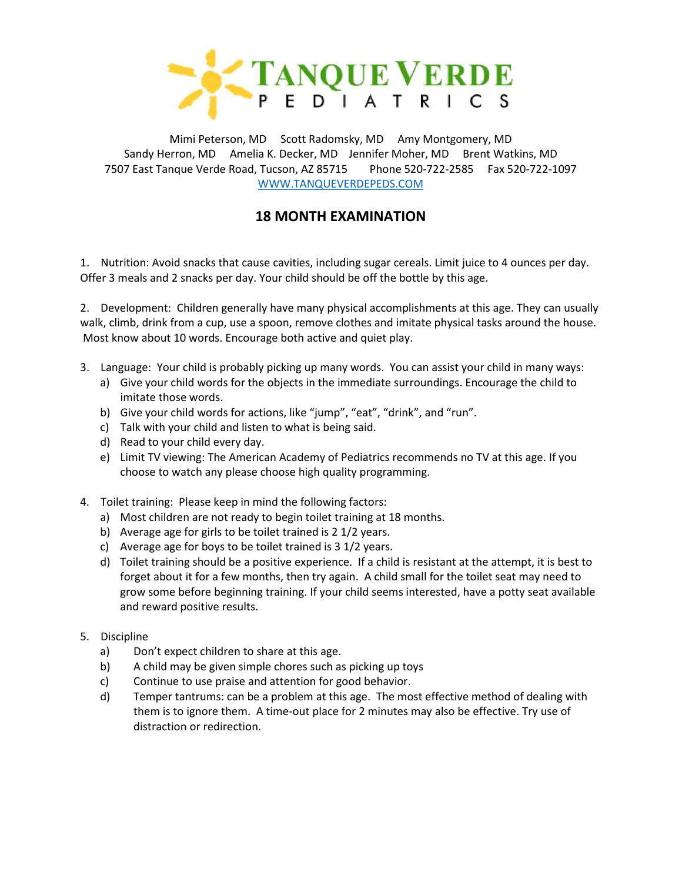

Mimi Peterson, MD Scott Radomsky, MD Amy Montgomery, MD Sandy Herron, MD Amelia K. Decker, MD Jennifer Moher, MD Brent Watkins, MD 7507 East Tanque Verde Road, Tucson, AZ 85715 Phone 520-722-2585 Fax 520-722-1097 [WWW.TANQUEVERDEPEDS.COM](http://www.tanqueverdepeds.com/)

## **18 MONTH EXAMINATION**

1. Nutrition: Avoid snacks that cause cavities, including sugar cereals. Limit juice to 4 ounces per day. Offer 3 meals and 2 snacks per day. Your child should be off the bottle by this age.

2. Development: Children generally have many physical accomplishments at this age. They can usually walk, climb, drink from a cup, use a spoon, remove clothes and imitate physical tasks around the house. Most know about 10 words. Encourage both active and quiet play.

- 3. Language: Your child is probably picking up many words. You can assist your child in many ways:
	- a) Give your child words for the objects in the immediate surroundings. Encourage the child to imitate those words.
	- b) Give your child words for actions, like "jump", "eat", "drink", and "run".
	- c) Talk with your child and listen to what is being said.
	- d) Read to your child every day.
	- e) Limit TV viewing: The American Academy of Pediatrics recommends no TV at this age. If you choose to watch any please choose high quality programming.
- 4. Toilet training: Please keep in mind the following factors:
	- a) Most children are not ready to begin toilet training at 18 months.
	- b) Average age for girls to be toilet trained is 2 1/2 years.
	- c) Average age for boys to be toilet trained is 3 1/2 years.
	- d) Toilet training should be a positive experience. If a child is resistant at the attempt, it is best to forget about it for a few months, then try again. A child small for the toilet seat may need to grow some before beginning training. If your child seems interested, have a potty seat available and reward positive results.
- 5. Discipline
	- a) Don't expect children to share at this age.
	- b) A child may be given simple chores such as picking up toys
	- c) Continue to use praise and attention for good behavior.
	- d) Temper tantrums: can be a problem at this age. The most effective method of dealing with them is to ignore them. A time-out place for 2 minutes may also be effective. Try use of distraction or redirection.